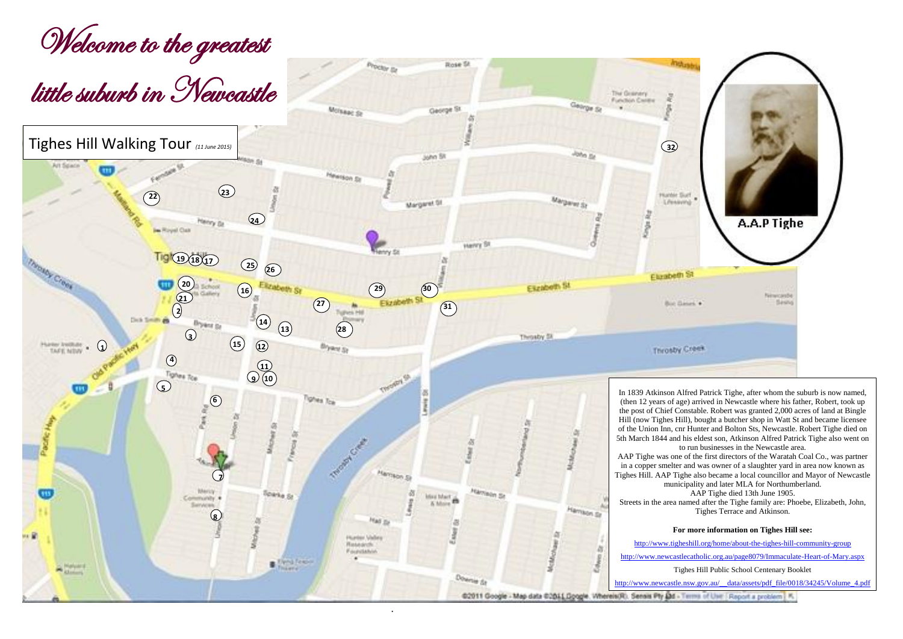.

02011 Google - Map data 02011 Google. Whereis(R). Seesis Pty Dd - Terms of User | Report a problem | K.